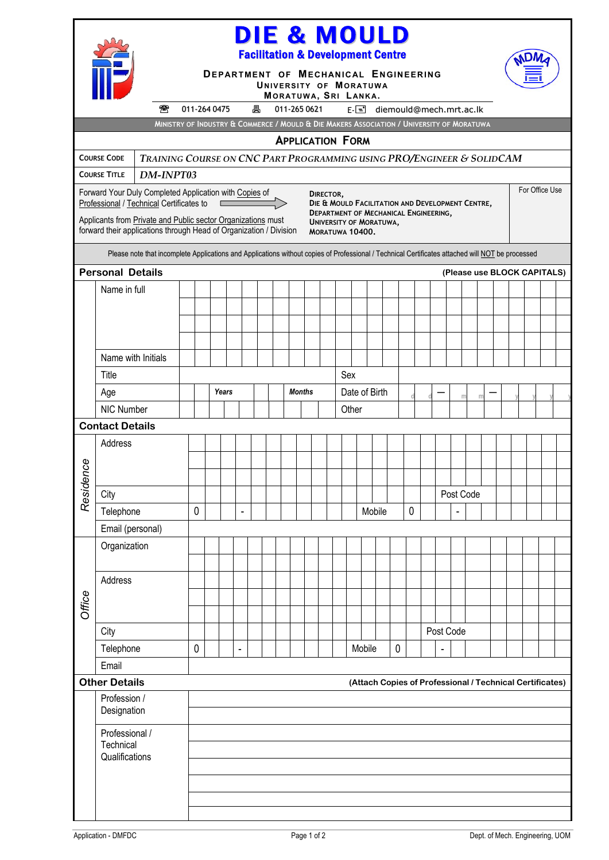|                                                                                                                                                  |                                                                                  |                                                                                                                                                                                                                                                                                                                                                                    | DIE & MOULD<br><b>Facilitation &amp; Development Centre</b><br>DEPARTMENT OF MECHANICAL ENGINEERING |                                                |                |   |  |              |  |                         |  |        |                        |             |             |                               |           |   |  |                |  |  |
|--------------------------------------------------------------------------------------------------------------------------------------------------|----------------------------------------------------------------------------------|--------------------------------------------------------------------------------------------------------------------------------------------------------------------------------------------------------------------------------------------------------------------------------------------------------------------------------------------------------------------|-----------------------------------------------------------------------------------------------------|------------------------------------------------|----------------|---|--|--------------|--|-------------------------|--|--------|------------------------|-------------|-------------|-------------------------------|-----------|---|--|----------------|--|--|
|                                                                                                                                                  |                                                                                  |                                                                                                                                                                                                                                                                                                                                                                    |                                                                                                     |                                                |                |   |  |              |  |                         |  |        | UNIVERSITY OF MORATUWA |             |             |                               |           |   |  |                |  |  |
|                                                                                                                                                  |                                                                                  | 魯                                                                                                                                                                                                                                                                                                                                                                  | 011-264 0475                                                                                        |                                                |                | 具 |  | 011-265 0621 |  | MORATUWA, SRI LANKA.    |  |        |                        |             |             | $E =$ diemould@mech.mrt.ac.lk |           |   |  |                |  |  |
|                                                                                                                                                  |                                                                                  |                                                                                                                                                                                                                                                                                                                                                                    | MINISTRY OF INDUSTRY & COMMERCE / MOULD & DIE MAKERS ASSOCIATION / UNIVERSITY OF MORATUWA           |                                                |                |   |  |              |  |                         |  |        |                        |             |             |                               |           |   |  |                |  |  |
|                                                                                                                                                  |                                                                                  |                                                                                                                                                                                                                                                                                                                                                                    |                                                                                                     |                                                |                |   |  |              |  | <b>APPLICATION FORM</b> |  |        |                        |             |             |                               |           |   |  |                |  |  |
|                                                                                                                                                  | <b>COURSE CODE</b>                                                               | TRAINING COURSE ON CNC PART PROGRAMMING USING PRO/ENGINEER & SOLIDCAM                                                                                                                                                                                                                                                                                              |                                                                                                     |                                                |                |   |  |              |  |                         |  |        |                        |             |             |                               |           |   |  |                |  |  |
|                                                                                                                                                  | <b>COURSE TITLE</b>                                                              | DM-INPT03                                                                                                                                                                                                                                                                                                                                                          |                                                                                                     |                                                |                |   |  |              |  |                         |  |        |                        |             |             |                               |           |   |  | For Office Use |  |  |
|                                                                                                                                                  | Professional / Technical Certificates to                                         | Forward Your Duly Completed Application with Copies of<br>DIRECTOR,<br>DIE & MOULD FACILITATION AND DEVELOPMENT CENTRE,<br><b>DEPARTMENT OF MECHANICAL ENGINEERING,</b><br>Applicants from Private and Public sector Organizations must<br><b>UNIVERSITY OF MORATUWA,</b><br>forward their applications through Head of Organization / Division<br>MORATUWA 10400. |                                                                                                     |                                                |                |   |  |              |  |                         |  |        |                        |             |             |                               |           |   |  |                |  |  |
| Please note that incomplete Applications and Applications without copies of Professional / Technical Certificates attached will NOT be processed |                                                                                  |                                                                                                                                                                                                                                                                                                                                                                    |                                                                                                     |                                                |                |   |  |              |  |                         |  |        |                        |             |             |                               |           |   |  |                |  |  |
| <b>Personal Details</b><br>(Please use BLOCK CAPITALS)                                                                                           |                                                                                  |                                                                                                                                                                                                                                                                                                                                                                    |                                                                                                     |                                                |                |   |  |              |  |                         |  |        |                        |             |             |                               |           |   |  |                |  |  |
|                                                                                                                                                  | Name in full                                                                     |                                                                                                                                                                                                                                                                                                                                                                    |                                                                                                     |                                                |                |   |  |              |  |                         |  |        |                        |             |             |                               |           |   |  |                |  |  |
|                                                                                                                                                  |                                                                                  |                                                                                                                                                                                                                                                                                                                                                                    |                                                                                                     |                                                |                |   |  |              |  |                         |  |        |                        |             |             |                               |           |   |  |                |  |  |
|                                                                                                                                                  |                                                                                  |                                                                                                                                                                                                                                                                                                                                                                    |                                                                                                     |                                                |                |   |  |              |  |                         |  |        |                        |             |             |                               |           |   |  |                |  |  |
|                                                                                                                                                  |                                                                                  |                                                                                                                                                                                                                                                                                                                                                                    |                                                                                                     |                                                |                |   |  |              |  |                         |  |        |                        |             |             |                               |           |   |  |                |  |  |
|                                                                                                                                                  | Name with Initials                                                               |                                                                                                                                                                                                                                                                                                                                                                    |                                                                                                     |                                                |                |   |  |              |  |                         |  |        |                        |             |             |                               |           |   |  |                |  |  |
|                                                                                                                                                  | Title                                                                            |                                                                                                                                                                                                                                                                                                                                                                    |                                                                                                     | Sex<br>Date of Birth<br>Years<br><b>Months</b> |                |   |  |              |  |                         |  |        |                        |             |             |                               |           |   |  |                |  |  |
|                                                                                                                                                  | Age<br>NIC Number                                                                |                                                                                                                                                                                                                                                                                                                                                                    |                                                                                                     |                                                |                |   |  |              |  |                         |  |        |                        |             |             |                               | m         | m |  |                |  |  |
|                                                                                                                                                  | <b>Contact Details</b>                                                           |                                                                                                                                                                                                                                                                                                                                                                    |                                                                                                     |                                                |                |   |  |              |  |                         |  | Other  |                        |             |             |                               |           |   |  |                |  |  |
|                                                                                                                                                  | Address                                                                          |                                                                                                                                                                                                                                                                                                                                                                    |                                                                                                     |                                                |                |   |  |              |  |                         |  |        |                        |             |             |                               |           |   |  |                |  |  |
| 92                                                                                                                                               |                                                                                  |                                                                                                                                                                                                                                                                                                                                                                    |                                                                                                     |                                                |                |   |  |              |  |                         |  |        |                        |             |             |                               |           |   |  |                |  |  |
|                                                                                                                                                  |                                                                                  |                                                                                                                                                                                                                                                                                                                                                                    |                                                                                                     |                                                |                |   |  |              |  |                         |  |        |                        |             |             |                               |           |   |  |                |  |  |
| Reside                                                                                                                                           | City                                                                             |                                                                                                                                                                                                                                                                                                                                                                    |                                                                                                     |                                                |                |   |  |              |  |                         |  |        |                        |             |             |                               | Post Code |   |  |                |  |  |
|                                                                                                                                                  | Telephone                                                                        |                                                                                                                                                                                                                                                                                                                                                                    | 0                                                                                                   |                                                |                |   |  |              |  |                         |  |        | Mobile                 |             | $\mathbf 0$ |                               |           |   |  |                |  |  |
|                                                                                                                                                  | Email (personal)                                                                 |                                                                                                                                                                                                                                                                                                                                                                    |                                                                                                     |                                                |                |   |  |              |  |                         |  |        |                        |             |             |                               |           |   |  |                |  |  |
|                                                                                                                                                  | Organization                                                                     |                                                                                                                                                                                                                                                                                                                                                                    |                                                                                                     |                                                |                |   |  |              |  |                         |  |        |                        |             |             |                               |           |   |  |                |  |  |
|                                                                                                                                                  | Address                                                                          |                                                                                                                                                                                                                                                                                                                                                                    |                                                                                                     |                                                |                |   |  |              |  |                         |  |        |                        |             |             |                               |           |   |  |                |  |  |
|                                                                                                                                                  |                                                                                  |                                                                                                                                                                                                                                                                                                                                                                    |                                                                                                     |                                                |                |   |  |              |  |                         |  |        |                        |             |             |                               |           |   |  |                |  |  |
| Office                                                                                                                                           |                                                                                  |                                                                                                                                                                                                                                                                                                                                                                    |                                                                                                     |                                                |                |   |  |              |  |                         |  |        |                        |             |             |                               |           |   |  |                |  |  |
|                                                                                                                                                  | City                                                                             |                                                                                                                                                                                                                                                                                                                                                                    |                                                                                                     |                                                |                |   |  |              |  |                         |  |        |                        |             |             | Post Code                     |           |   |  |                |  |  |
|                                                                                                                                                  | Telephone                                                                        |                                                                                                                                                                                                                                                                                                                                                                    | 0                                                                                                   |                                                | $\blacksquare$ |   |  |              |  |                         |  | Mobile |                        | $\mathbf 0$ |             | ٠                             |           |   |  |                |  |  |
|                                                                                                                                                  | Email                                                                            |                                                                                                                                                                                                                                                                                                                                                                    |                                                                                                     |                                                |                |   |  |              |  |                         |  |        |                        |             |             |                               |           |   |  |                |  |  |
|                                                                                                                                                  | <b>Other Details</b><br>(Attach Copies of Professional / Technical Certificates) |                                                                                                                                                                                                                                                                                                                                                                    |                                                                                                     |                                                |                |   |  |              |  |                         |  |        |                        |             |             |                               |           |   |  |                |  |  |
|                                                                                                                                                  | Profession /<br>Designation                                                      |                                                                                                                                                                                                                                                                                                                                                                    |                                                                                                     |                                                |                |   |  |              |  |                         |  |        |                        |             |             |                               |           |   |  |                |  |  |
|                                                                                                                                                  | Professional /                                                                   |                                                                                                                                                                                                                                                                                                                                                                    |                                                                                                     |                                                |                |   |  |              |  |                         |  |        |                        |             |             |                               |           |   |  |                |  |  |
|                                                                                                                                                  | Technical<br>Qualifications                                                      |                                                                                                                                                                                                                                                                                                                                                                    |                                                                                                     |                                                |                |   |  |              |  |                         |  |        |                        |             |             |                               |           |   |  |                |  |  |
|                                                                                                                                                  |                                                                                  |                                                                                                                                                                                                                                                                                                                                                                    |                                                                                                     |                                                |                |   |  |              |  |                         |  |        |                        |             |             |                               |           |   |  |                |  |  |
|                                                                                                                                                  |                                                                                  |                                                                                                                                                                                                                                                                                                                                                                    |                                                                                                     |                                                |                |   |  |              |  |                         |  |        |                        |             |             |                               |           |   |  |                |  |  |
|                                                                                                                                                  |                                                                                  |                                                                                                                                                                                                                                                                                                                                                                    |                                                                                                     |                                                |                |   |  |              |  |                         |  |        |                        |             |             |                               |           |   |  |                |  |  |